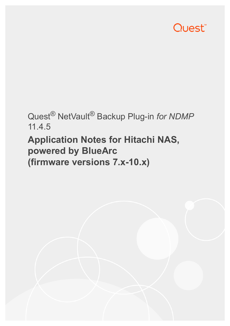# Quest<sup>®</sup>

# Quest® NetVault® Backup Plug-in *for NDMP* 11.4.5

# **Application Notes for Hitachi NAS, powered by BlueArc (firmware versions 7.x-10.x)**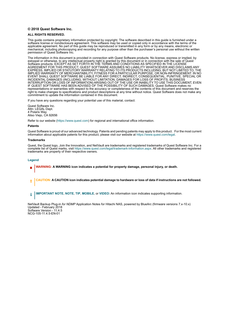#### **© 2018 Quest Software Inc.**

#### **ALL RIGHTS RESERVED.**

This guide contains proprietary information protected by copyright. The software described in this guide is furnished under a software license or nondisclosure agreement. This software may be used or copied only in accordance with the terms of the applicable agreement. No part of this guide may be reproduced or transmitted in any form or by any means, electronic or mechanical, including photocopying and recording for any purpose other than the purchaser's personal use without the written permission of Quest Software Inc.

The information in this document is provided in connection with Quest Software products. No license, express or implied, by estoppel or otherwise, to any intellectual property right is granted by this document or in connection with the sale of Quest<br>Software products. EXCEPT AS SET FORTH IN THE TERMS AND CONDITIONS AS SPECIFIED IN THE LICENSE<br>A EXPRESS, IMPLIED OR STATUTORY WARRANTY RELATING TO ITS PRODUCTS INCLUDING, BUT NOT LIMITED TO, THE IMPLIED WARRANTY OF MERCHANTABILITY, FITNESS FOR A PARTICULAR PURPOSE, OR NON-INFRINGEMENT. IN NO EVENT SHALL QUEST SOFTWARE BE LIABLE FOR ANY DIRECT, INDIRECT, CONSEQUENTIAL, PUNITIVE, SPECIAL OR INCIDENTAL DAMAGES (INCLUDING, WITHOUT LIMITATION, DAMAGES FOR LOSS OF PROFITS, BUSINESS<br>INTERRUPTION OR LOSS OF INFORMATION) ARISING OUT OF THE USE OR INABILITY TO USE THIS DOCUMENT, EVEN IF QUEST SOFTWARE HAS BEEN ADVISED OF THE POSSIBILITY OF SUCH DAMAGES. Quest Software makes no representations or warranties with respect to the accuracy or completeness of the contents of this document and reserves the right to make changes to specifications and product descriptions at any time without notice. Quest Software does not make any commitment to update the information contained in this document.

If you have any questions regarding your potential use of this material, contact:

Quest Software Inc. Attn: LEGAL Dept. 4 Polaris Way Aliso Viejo, CA 92656

Refer to our website [\(https://www.quest.com](https://www.quest.com)) for regional and international office information.

#### **Patents**

Quest Software is proud of our advanced technology. Patents and pending patents may apply to this product. For the most current information about applicable patents for this product, please visit our website at [https://www.quest.com/legal.](https://www.quest.com/legal)

#### **Trademarks**

Quest, the Quest logo, Join the Innovation, and NetVault are trademarks and registered trademarks of Quest Software Inc. For a complete list of Quest marks, visit [https://www.quest.com/legal/trademark-information.aspx.](https://www.quest.com/legal/trademark-information.aspx) All other trademarks and registered trademarks are property of their respective owners.

#### **Legend**

- **WARNING: A WARNING icon indicates a potential for property damage, personal injury, or death.**
- **CAUTION: A CAUTION icon indicates potential damage to hardware or loss of data if instructions are not followed.** Ţ
- **IMPORTANT NOTE**, **NOTE**, **TIP**, **MOBILE**, or **VIDEO:** An information icon indicates supporting information.f.

NetVault Backup Plug-in *for NDMP* Application Notes for Hitachi NAS, powered by BlueArc (firmware versions 7.x-10.x) Updated - February 2018 Software Version - 11.4.5 NCG-105-11.4.5-EN-01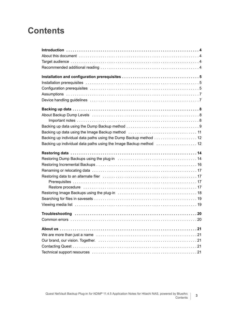### **Contents**

| Backing up individual data paths using the Dump Backup method 12                                                |
|-----------------------------------------------------------------------------------------------------------------|
| Backing up individual data paths using the Image Backup method  12                                              |
|                                                                                                                 |
|                                                                                                                 |
|                                                                                                                 |
|                                                                                                                 |
|                                                                                                                 |
|                                                                                                                 |
| Restore procedure in material contact the contract of the contract of the contract of the contract of the contr |
|                                                                                                                 |
|                                                                                                                 |
|                                                                                                                 |
|                                                                                                                 |
|                                                                                                                 |
|                                                                                                                 |
|                                                                                                                 |
|                                                                                                                 |
|                                                                                                                 |
|                                                                                                                 |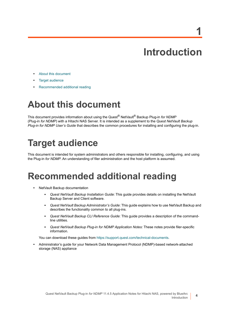# **Introduction**

**1**

- <span id="page-3-0"></span>**•** [About this document](#page-3-1)
- **•** [Target audience](#page-3-2)
- **•** [Recommended additional reading](#page-3-3)

# <span id="page-3-1"></span>**About this document**

This document provides information about using the Quest® NetVault® Backup Plug-in *for NDMP* (Plug-in *for NDMP*) with a Hitachi NAS Server. It is intended as a supplement to the *Quest NetVault Backup Plug-in for NDMP User's Guide* that describes the common procedures for installing and configuring the plug-in.

# <span id="page-3-2"></span>**Target audience**

This document is intended for system administrators and others responsible for installing, configuring, and using the Plug-in *for NDMP*. An understanding of filer administration and the host platform is assumed.

### <span id="page-3-3"></span>**Recommended additional reading**

- **•** NetVault Backup documentation
	- **▪** *Quest NetVault Backup Installation Guide*: This guide provides details on installing the NetVault Backup Server and Client software.
	- **▪** *Quest NetVault Backup Administrator's Guide*: This guide explains how to use NetVault Backup and describes the functionality common to all plug-ins.
	- **▪** *Quest NetVault Backup CLI Reference Guide*: This guide provides a description of the commandline utilities.
	- **▪** *Quest NetVault Backup Plug-in for NDMP Application Notes:* These notes provide filer-specific information.

You can download these guides from<https://support.quest.com/technical-documents>.

**•** Administrator's guide for your Network Data Management Protocol (NDMP)-based network-attached storage (NAS) appliance

**4**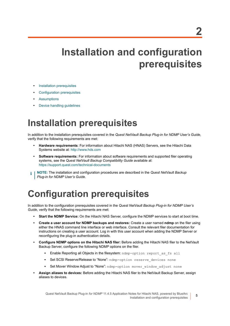# <span id="page-4-0"></span>**Installation and configuration prerequisites**

- **•** [Installation prerequisites](#page-4-1)
- **•** [Configuration prerequisites](#page-4-2)
- **•** [Assumptions](#page-6-0)
- **•** [Device handling guidelines](#page-6-1)

### <span id="page-4-1"></span>**Installation prerequisites**

In addition to the installation prerequisites covered in the *Quest NetVault Backup Plug-in for NDMP User's Guide*, verify that the following requirements are met:

- **Hardware requirements**: For information about Hitachi NAS (HNAS) Servers, see the Hitachi Data Systems website at:<http://www.hds.com>
- **Software requirements:** For information about software requirements and supported filer operating systems, see the *Quest NetVault Backup Compatibility Guide* available at: <https://support.quest.com/technical-documents>
- **NOTE:** The installation and configuration procedures are described in the *Quest NetVault Backup*  i. *Plug-in for NDMP User's Guide.*

# <span id="page-4-2"></span>**Configuration prerequisites**

In addition to the configuration prerequisites covered in the *Quest NetVault Backup Plug-in for NDMP User's Guide*, verify that the following requirements are met:

- **Start the NDMP Service:** On the Hitachi NAS Server, configure the NDMP services to start at boot time.
- **Create a user account for NDMP backups and restores:** Create a user named **ndmp** on the filer using either the HNAS command line interface or web interface. Consult the relevant filer documentation for instructions on creating a user account. Log in with this user account when adding the NDMP Server or reconfiguring the plug-in authentication details.
- **Configure NDMP options on the Hitachi NAS filer:** Before adding the Hitachi NAS filer to the NetVault Backup Server, configure the following NDMP options on the filer.
	- **Enable Reporting all Objects in the filesystem:** ndmp-option report as fs all
	- Set SCSI Reserve/Release to "None": ndmp-option reserve devices none
	- Set Mover Window Adjust to "None": ndmp-option mover window adjust none
- **Assign aliases to devices:** Before adding the Hitachi NAS filer to the NetVault Backup Server, assign aliases to devices.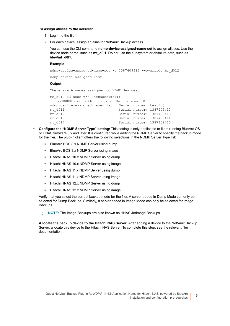#### *To assign aliases to the devices:*

- 1 Log in to the filer.
- 2 For each device, assign an alias for NetVault Backup access.

You can use the CLI command **ndmp-device-assigned-name-set** to assign aliases. Use the device node name, such as **mt\_d0l1**. Do not use the subsystem or absolute path, such as **/dev/mt\_d0l1**.

#### **Example:**

```
ndmp-device-assigned-name-set -s 1387409413 --override mt_d0l2
ndmp-device-assigned-list
Output:
There are 6 names assigned to NDMP devices:
mc_d010 FC_Node WWN (hexadecimal):
```

```
0x2000000d7709a3dc Logical Unit Number: 0
ndmp-device-assigned-name-list Serial number: test1:$
mt_d0l1 Serial number: 1387409412
mt_d0l2 Serial number: 1387409413
mt_d0l3 Serial number: 1387409414
                        Serial number: 1387409415
```
- **Configure the "NDMP Server Type" setting:** This setting is only applicable to filers running BlueArc OS or HNAS firmware 8.x and later. It is configured while adding the NDMP Server to specify the backup mode for the filer. The plug-in client offers the following selections in the NDMP Server Type list:
	- **BlueArc BOS 8.x NDMP Server using dump**
	- **▪** BlueArc BOS 8.x NDMP Server using image
	- Hitachi HNAS 10.x NDMP Server using dump
	- **▪** Hitachi HNAS 10.x NDMP Server using image
	- Hitachi HNAS 11.x NDMP Server using dump
	- **▪** Hitachi HNAS 11.x NDMP Server using image
	- **▪** Hitachi HNAS 12.x NDMP Server using dump
	- **▪** Hitachi HNAS 12.x NDMP Server using image

Verify that you select the correct backup mode for the filer. A server added in Dump Mode can only be selected for Dump Backups. Similarly, a server added in Image Mode can only be selected for Image Backups.

**i** | NOTE: The Image Backups are also known as HNAS JetImage Backups.

**• Allocate the backup device to the Hitachi NAS Server:** After adding a device to the NetVault Backup Server, allocate this device to the Hitachi NAS Server. To complete this step, see the relevant filer documentation.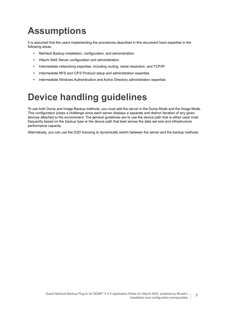# <span id="page-6-0"></span>**Assumptions**

It is assumed that the users implementing the procedures described in this document have expertise in the following areas:

- **•** NetVault Backup installation, configuration, and administration.
- **•** Hitachi NAS Server configuration and administration.
- **•** Intermediate networking expertise, including routing, name resolution, and TCP/IP.
- **•** Intermediate NFS and CIFS Protocol setup and administration expertise.
- **•** Intermediate Windows Authentication and Active Directory administration expertise.

# <span id="page-6-1"></span>**Device handling guidelines**

To use both Dump and Image Backup methods, you must add the server in the Dump Mode and the Image Mode. This configuration poses a challenge since each server displays a separate and distinct iteration of any given devices attached to the environment. The general guidelines are to use the device path that is either used most frequently based on the backup type or the device path that best serves the data set size and infrastructure performance capacity.

Alternatively, you can use the D2D licensing to dynamically switch between the server and the backup methods.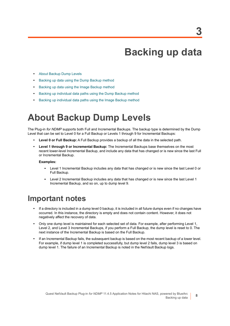**8**

# **Backing up data**

- <span id="page-7-0"></span>**•** [About Backup Dump Levels](#page-7-1)
- **•** [Backing up data using the Dump Backup method](#page-8-0)
- **•** [Backing up data using the Image Backup method](#page-10-0)
- **•** [Backing up individual data paths using the Dump Backup method](#page-11-0)
- **•** [Backing up individual data paths using the Image Backup method](#page-11-1)

### <span id="page-7-1"></span>**About Backup Dump Levels**

The Plug-in *for NDMP* supports both Full and Incremental Backups. The backup type is determined by the Dump Level that can be set to Level 0 for a Full Backup or Levels 1 through 9 for Incremental Backups:

- **Level 0 or Full Backup:** A Full Backup provides a backup of all the data in the selected path.
- **Level 1 through 9 or Incremental Backup:** The Incremental Backups base themselves on the most recent lower-level Incremental Backup, and include any data that has changed or is new since the last Full or Incremental Backup.

#### **Examples:**

- **▪** Level 1 Incremental Backup includes any data that has changed or is new since the last Level 0 or Full Backup.
- **▪** Level 2 Incremental Backup includes any data that has changed or is new since the last Level 1 Incremental Backup, and so on, up to dump level 9.

### <span id="page-7-2"></span>**Important notes**

- **•** If a directory is included in a dump level 0 backup, it is included in all future dumps even if no changes have occurred. In this instance, the directory is empty and does not contain content. However, it does not negatively affect the recovery of data.
- **•** Only one dump level is maintained for each selected set of data. For example, after performing Level 1, Level 2, and Level 3 Incremental Backups, if you perform a Full Backup, the dump level is reset to 0. The next instance of the Incremental Backup is based on the Full Backup.
- **•** If an Incremental Backup fails, the subsequent backup is based on the most recent backup of a lower level. For example, if dump level 1 is completed successfully, but dump level 2 fails, dump level 3 is based on dump level 1. The failure of an Incremental Backup is noted in the NetVault Backup logs.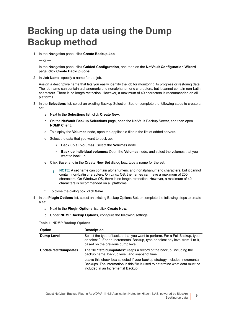# <span id="page-8-0"></span>**Backing up data using the Dump Backup method**

1 In the Navigation pane, click **Create Backup Job**.

 $-$  or  $-$ 

In the Navigation pane, click **Guided Configuration**, and then on the **NetVault Configuration Wizard** page, click **Create Backup Jobs**.

2 In **Job Name**, specify a name for the job.

Assign a descriptive name that lets you easily identify the job for monitoring its progress or restoring data. The job name can contain alphanumeric and nonalphanumeric characters, but it cannot contain non-Latin characters. There is no length restriction. However, a maximum of 40 characters is recommended on all platforms.

- 3 In the **Selections** list, select an existing Backup Selection Set, or complete the following steps to create a set.
	- a Next to the **Selections** list, click **Create New**.
	- b On the **NetVault Backup Selections** page, open the NetVault Backup Server, and then open **NDMP Client**.
	- c To display the **Volumes** node, open the applicable filer in the list of added servers.
	- d Select the data that you want to back up:
		- **▫ Back up all volumes:** Select the **Volumes** node.
		- **▫ Back up individual volumes:** Open the **Volumes** node, and select the volumes that you want to back up.
	- e Click **Save**, and in the **Create New Set** dialog box, type a name for the set.
		- **i** | NOTE: A set name can contain alphanumeric and nonalphanumeric characters, but it cannot contain non-Latin characters. On Linux OS, the names can have a maximum of 200 characters. On Windows OS, there is no length restriction. However, a maximum of 40 characters is recommended on all platforms.
	- f To close the dialog box, click **Save**.
- 4 In the **Plugin Options** list, select an existing Backup Options Set, or complete the following steps to create a set.
	- a Next to the **Plugin Options** list, click **Create New**.
	- b Under **NDMP Backup Options**, configure the following settings.

<span id="page-8-1"></span>**Table 1. NDMP Backup Options**

| <b>Option</b>         | <b>Description</b>                                                                                                                                                                                |  |  |
|-----------------------|---------------------------------------------------------------------------------------------------------------------------------------------------------------------------------------------------|--|--|
| <b>Dump Level</b>     | Select the type of backup that you want to perform. For a Full Backup, type<br>or select 0. For an Incremental Backup, type or select any level from 1 to 9,<br>based on the previous dump level. |  |  |
| Update /etc/dumpdates | The file "/etc/dumpdates" keeps a record of the backup, including the<br>backup name, backup level, and snapshot time.                                                                            |  |  |
|                       | Leave this check box selected if your backup strategy includes Incremental<br>Backups. The information in this file is used to determine what data must be<br>included in an Incremental Backup.  |  |  |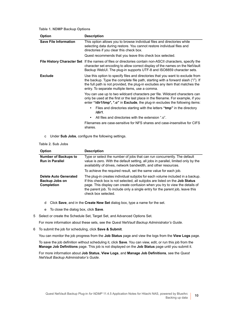**Table 1. NDMP Backup Options**

| <b>Option</b>                | <b>Description</b>                                                                                                                                                                                                                                                                                     |  |  |
|------------------------------|--------------------------------------------------------------------------------------------------------------------------------------------------------------------------------------------------------------------------------------------------------------------------------------------------------|--|--|
| <b>Save File Information</b> | This option allows you to browse individual files and directories while<br>selecting data during restore. You cannot restore individual files and<br>directories if you clear this check box.                                                                                                          |  |  |
|                              | Quest recommends that you leave this check box selected.                                                                                                                                                                                                                                               |  |  |
|                              | <b>File History Character Set</b> If the names of files or directories contain non-ASCII characters, specify the<br>character set encoding to allow correct display of the names on the NetVault<br>Backup WebUI. The plug-in supports UTF-8 and ISO8859 character sets.                               |  |  |
| <b>Exclude</b>               | Use this option to specify files and directories that you want to exclude from<br>the backup. Type the complete file path, starting with a forward slash ("/"). If<br>the full path is not provided, the plug-in excludes any item that matches the<br>entry. To separate multiple items, use a comma. |  |  |
|                              | You can use up to two wildcard characters per file. Wildcard characters can<br>only be used at the first or the last place in the filename. For example, if you<br>enter "/dir1/tmp*, *.o" in Exclude, the plug-in excludes the following items:                                                       |  |  |
|                              | Files and directories starting with the letters "tmp" in the directory<br>٠<br>/dir1.                                                                                                                                                                                                                  |  |  |
|                              | All files and directories with the extension ".o".<br>٠                                                                                                                                                                                                                                                |  |  |
|                              | Filenames are case-sensitive for NFS shares and case-insensitive for CIFS<br>shares.                                                                                                                                                                                                                   |  |  |

c Under **Sub Jobs**, configure the following settings.

<span id="page-9-0"></span>**Table 2. Sub Jobs**

| <b>Option</b>                                                       | <b>Description</b>                                                                                                                                                                                                                                                                                                                                        |
|---------------------------------------------------------------------|-----------------------------------------------------------------------------------------------------------------------------------------------------------------------------------------------------------------------------------------------------------------------------------------------------------------------------------------------------------|
| <b>Number of Backups to</b><br><b>Run in Parallel</b>               | Type or select the number of jobs that can run concurrently. The default<br>value is zero. With the default setting, all jobs in parallel, limited only by the<br>availability of drives, network bandwidth, and other resources.                                                                                                                         |
|                                                                     | To achieve the required result, set the same value for each job.                                                                                                                                                                                                                                                                                          |
| <b>Delete Auto Generated</b><br>Backup Jobs on<br><b>Completion</b> | The plug-in creates individual subjobs for each volume included in a backup.<br>If this check box is not selected, all subjobs are listed on the <b>Job Status</b><br>page. This display can create confusion when you try to view the details of<br>the parent job. To include only a single entry for the parent job, leave this<br>check box selected. |

- d Click **Save**, and in the **Create New Set** dialog box, type a name for the set.
- e To close the dialog box, click **Save**.
- <span id="page-9-1"></span>5 Select or create the Schedule Set, Target Set, and Advanced Options Set.

For more information about these sets, see the *Quest NetVault Backup Administrator's Guide*.

<span id="page-9-2"></span>6 To submit the job for scheduling, click **Save & Submit**.

You can monitor the job progress from the **Job Status** page and view the logs from the **View Logs** page.

To save the job definition without scheduling it, click **Save**. You can view, edit, or run this job from the **Manage Job Definitions** page. This job is not displayed on the **Job Status** page until you submit it.

For more information about **Job Status**, **View Logs**, and **Manage Job Definitions**, see the *Quest NetVault Backup Administrator's Guide*.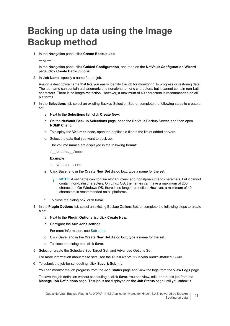# <span id="page-10-0"></span>**Backing up data using the Image Backup method**

1 In the Navigation pane, click **Create Backup Job**.

 $-$  or  $-$ 

In the Navigation pane, click **Guided Configuration**, and then on the **NetVault Configuration Wizard** page, click **Create Backup Jobs**.

2 In **Job Name**, specify a name for the job.

Assign a descriptive name that lets you easily identify the job for monitoring its progress or restoring data. The job name can contain alphanumeric and nonalphanumeric characters, but it cannot contain non-Latin characters. There is no length restriction. However, a maximum of 40 characters is recommended on all platforms.

- 3 In the **Selections** list, select an existing Backup Selection Set, or complete the following steps to create a set.
	- a Next to the **Selections** list, click **Create New**.
	- b On the **NetVault Backup Selections** page, open the NetVault Backup Server, and then open **NDMP Client**.
	- c To display the **Volumes** node, open the applicable filer in the list of added servers.
	- d Select the data that you want to back up.

The volume names are displayed in the following format:

/\_\_VOLUME\_\_/xxxx

#### **Example:**

/\_\_VOLUME\_\_/FS01

- e Click **Save**, and in the **Create New Set** dialog box, type a name for the set.
	- **NOTE:** A set name can contain alphanumeric and nonalphanumeric characters, but it cannot ÷ contain non-Latin characters. On Linux OS, the names can have a maximum of 200 characters. On Windows OS, there is no length restriction. However, a maximum of 40 characters is recommended on all platforms.
- f To close the dialog box, click **Save**.
- 4 In the **Plugin Options** list, select an existing Backup Options Set, or complete the following steps to create a set.
	- a Next to the **Plugin Options** list, click **Create New**.
	- b Configure the **Sub Jobs** settings.
		- For more information, see [Sub Jobs](#page-9-0).
	- c Click **Save**, and in the **Create New Set** dialog box, type a name for the set.
	- d To close the dialog box, click **Save**.
- <span id="page-10-1"></span>5 Select or create the Schedule Set, Target Set, and Advanced Options Set.

For more information about these sets, see the *Quest NetVault Backup Administrator's Guide*.

<span id="page-10-2"></span>6 To submit the job for scheduling, click **Save & Submit**.

You can monitor the job progress from the **Job Status** page and view the logs from the **View Logs** page.

To save the job definition without scheduling it, click **Save**. You can view, edit, or run this job from the **Manage Job Definitions** page. This job is not displayed on the **Job Status** page until you submit it.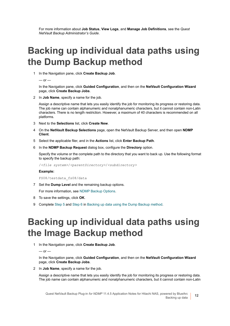For more information about **Job Status**, **View Logs**, and **Manage Job Definitions**, see the *Quest NetVault Backup Administrator's Guide*.

### <span id="page-11-0"></span>**Backing up individual data paths using the Dump Backup method**

1 In the Navigation pane, click **Create Backup Job**.

 $-$  or  $-$ 

In the Navigation pane, click **Guided Configuration**, and then on the **NetVault Configuration Wizard** page, click **Create Backup Jobs**.

2 In **Job Name**, specify a name for the job.

Assign a descriptive name that lets you easily identify the job for monitoring its progress or restoring data. The job name can contain alphanumeric and nonalphanumeric characters, but it cannot contain non-Latin characters. There is no length restriction. However, a maximum of 40 characters is recommended on all platforms.

- 3 Next to the **Selections** list, click **Create New**.
- 4 On the **NetVault Backup Selections** page, open the NetVault Backup Server, and then open **NDMP Client**.
- 5 Select the applicable filer, and in the **Actions** list, click **Enter Backup Path**.
- 6 In the **NDMP Backup Request** dialog box, configure the **Directory** option.

Specify the volume or the complete path to the directory that you want to back up. Use the following format to specify the backup path:

/*<file system>*/*<parentDirectory>*/*<subdirectory>*

#### **Example:**

FS08/testdata\_fs08/data

7 Set the **Dump Level** and the remaining backup options.

For more information, see [NDMP Backup Options](#page-8-1).

- 8 To save the settings, click **OK**.
- 9 Complete [Step 5](#page-9-1) and [Step 6](#page-9-2) in [Backing up data using the Dump Backup method](#page-8-0).

### <span id="page-11-1"></span>**Backing up individual data paths using the Image Backup method**

1 In the Navigation pane, click **Create Backup Job**.

 $-$  or  $-$ 

In the Navigation pane, click **Guided Configuration**, and then on the **NetVault Configuration Wizard** page, click **Create Backup Jobs**.

2 In **Job Name**, specify a name for the job.

Assign a descriptive name that lets you easily identify the job for monitoring its progress or restoring data. The job name can contain alphanumeric and nonalphanumeric characters, but it cannot contain non-Latin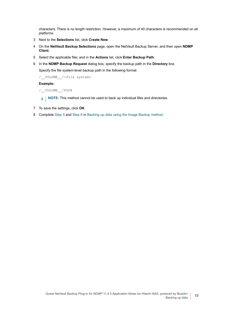characters. There is no length restriction. However, a maximum of 40 characters is recommended on all platforms.

- 3 Next to the **Selections** list, click **Create New**.
- 4 On the **NetVault Backup Selections** page, open the NetVault Backup Server, and then open **NDMP Client**.
- 5 Select the applicable filer, and in the **Actions** list, click **Enter Backup Path**.
- 6 In the **NDMP Backup Request** dialog box, specify the backup path in the **Directory** box.

Specify the file system-level backup path in the following format:

/\_\_VOLUME\_\_/*<file system>*

#### **Example:**

/\_\_VOLUME\_\_/FS08

- **i** | NOTE: This method cannot be used to back up individual files and directories.
- 7 To save the settings, click **OK**.
- 8 Complete [Step 5](#page-10-1) and [Step 6](#page-10-2) in [Backing up data using the Image Backup method.](#page-10-0)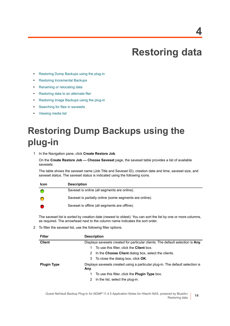# **Restoring data**

- <span id="page-13-0"></span>**•** [Restoring Dump Backups using the plug-in](#page-13-1)
- **•** [Restoring Incremental Backups](#page-15-0)
- **•** [Renaming or relocating data](#page-16-0)
- **•** [Restoring data to an alternate filer](#page-16-1)
- **•** [Restoring Image Backups using the plug-in](#page-17-0)
- **•** [Searching for files in savesets](#page-18-0)
- **•** [Viewing media list](#page-18-1)

# <span id="page-13-1"></span>**Restoring Dump Backups using the plug-in**

<span id="page-13-2"></span>1 In the Navigation pane, click **Create Restore Job**.

On the **Create Restore Job — Choose Saveset** page, the saveset table provides a list of available savesets.

The table shows the saveset name (Job Title and Saveset ID), creation date and time, saveset size, and saveset status. The saveset status is indicated using the following icons.

| <b>Icon</b> | <b>Description</b>                                      |
|-------------|---------------------------------------------------------|
|             | Saveset is online (all segments are online).            |
|             | Saveset is partially online (some segments are online). |
|             | Saveset is offline (all segments are offline).          |

The saveset list is sorted by creation date (newest to oldest). You can sort the list by one or more columns, as required. The arrowhead next to the column name indicates the sort order.

2 To filter the saveset list, use the following filter options.

| <b>Filter</b>      | <b>Description</b>                                                                     |  |  |
|--------------------|----------------------------------------------------------------------------------------|--|--|
| <b>Client</b>      | Displays savesets created for particular clients. The default selection is Any.        |  |  |
|                    | To use this filter, click the <b>Client</b> box.                                       |  |  |
|                    | In the Choose Client dialog box, select the clients.<br>2                              |  |  |
|                    | To close the dialog box, click <b>OK</b> .<br>3                                        |  |  |
| <b>Plugin Type</b> | Displays savesets created using a particular plug-in. The default selection is<br>Any. |  |  |
|                    | To use this filter, click the <b>Plugin Type</b> box.                                  |  |  |
|                    | In the list, select the plug-in.<br>2                                                  |  |  |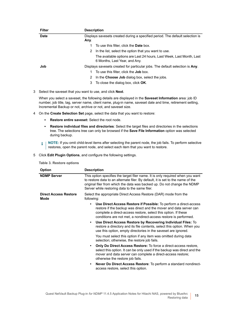| <b>Filter</b> | <b>Description</b>                                                                                    |  |  |
|---------------|-------------------------------------------------------------------------------------------------------|--|--|
| <b>Date</b>   | Displays savesets created during a specified period. The default selection is                         |  |  |
|               | Any.                                                                                                  |  |  |
|               | To use this filter, click the <b>Date</b> box.                                                        |  |  |
|               | In the list, select the option that you want to use.<br>2                                             |  |  |
|               | The available options are Last 24 hours, Last Week, Last Month, Last<br>6 Months, Last Year, and Any. |  |  |
| Job           | Displays savesets created for particular jobs. The default selection is Any.                          |  |  |
|               | To use this filter, click the <b>Job</b> box.                                                         |  |  |
|               | In the Choose Job dialog box, select the jobs.<br>2                                                   |  |  |
|               | To close the dialog box, click <b>OK</b> .<br>3                                                       |  |  |

3 Select the saveset that you want to use, and click **Next**.

When you select a saveset, the following details are displayed in the **Saveset Information** area: job ID number, job title, tag, server name, client name, plug-in name, saveset date and time, retirement setting, Incremental Backup or not, archive or not, and saveset size.

- <span id="page-14-0"></span>4 On the **Create Selection Set** page, select the data that you want to restore:
	- **▪ Restore entire saveset:** Select the root node.
	- **▪ Restore individual files and directories**: Select the target files and directories in the selections tree. The selections tree can only be browsed if the **Save File Information** option was selected during backup.
	- **i** | NOTE: If you omit child-level items after selecting the parent node, the job fails. To perform selective restores, open the parent node, and select each item that you want to restore.
- <span id="page-14-2"></span><span id="page-14-1"></span>5 Click **Edit Plugin Options**, and configure the following settings.

|  |  | Table 3. Restore options |  |
|--|--|--------------------------|--|
|--|--|--------------------------|--|

| <b>Option</b>                        | <b>Description</b>                                                                                                                                                                                                                                                                                                                                                                                                                                                                                                                                                                                                         |  |  |
|--------------------------------------|----------------------------------------------------------------------------------------------------------------------------------------------------------------------------------------------------------------------------------------------------------------------------------------------------------------------------------------------------------------------------------------------------------------------------------------------------------------------------------------------------------------------------------------------------------------------------------------------------------------------------|--|--|
| <b>NDMP Server</b>                   | This option specifies the target filer name. It is only required when you want<br>to restore data to an alternate filer. By default, it is set to the name of the<br>original filer from which the data was backed up. Do not change the NDMP<br>Server while restoring data to the same filer.                                                                                                                                                                                                                                                                                                                            |  |  |
| <b>Direct Access Restore</b><br>Mode | Select the appropriate Direct Access Restore (DAR) mode from the<br>following:                                                                                                                                                                                                                                                                                                                                                                                                                                                                                                                                             |  |  |
|                                      | Use Direct Access Restore if Possible: To perform a direct-access<br>restore if the backup was direct and the mover and data server can<br>complete a direct-access restore, select this option. If these<br>conditions are not met, a nondirect-access restore is performed.<br>Use Direct Access Restore by Recovering Individual Files: To<br>$\bullet$<br>restore a directory and its file contents, select this option. When you<br>use this option, empty directories in the saveset are ignored.<br>You must select this option if any item was omitted during data<br>selection; otherwise, the restore job fails. |  |  |
|                                      | <b>Only Do Direct Access Restore:</b> To force a direct-access restore,<br>select this option. It can be only used if the backup was direct and the<br>mover and data server can complete a direct-access restore;<br>otherwise the restore job fails.                                                                                                                                                                                                                                                                                                                                                                     |  |  |
|                                      | Never Do Direct Access Restore: To perform a standard nondirect-<br>$\bullet$<br>access restore, select this option.                                                                                                                                                                                                                                                                                                                                                                                                                                                                                                       |  |  |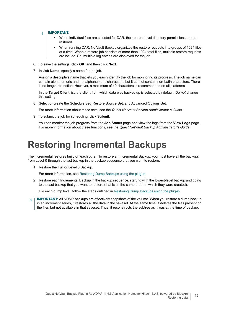#### **IMPORTANT:**  i

- **•** When individual files are selected for DAR, their parent-level directory permissions are not restored.
- **•** When running DAR, NetVault Backup organizes the restore requests into groups of 1024 files at a time. When a restore job consists of more than 1024 total files, multiple restore requests are issued. So, multiple log entries are displayed for the job.
- <span id="page-15-2"></span>6 To save the settings, click **OK**, and then click **Next**.
- 7 In **Job Name**, specify a name for the job.

Assign a descriptive name that lets you easily identify the job for monitoring its progress. The job name can contain alphanumeric and nonalphanumeric characters, but it cannot contain non-Latin characters. There is no length restriction. However, a maximum of 40 characters is recommended on all platforms

In the **Target Client** list, the client from which data was backed up is selected by default. Do *not* change this setting.

8 Select or create the Schedule Set, Restore Source Set, and Advanced Options Set.

For more information about these sets, see the *Quest NetVault Backup Administrator's Guide*.

<span id="page-15-1"></span>9 To submit the job for scheduling, click **Submit**.

You can monitor the job progress from the **Job Status** page and view the logs from the **View Logs** page. For more information about these functions, see the *Quest NetVault Backup Administrator's Guide*.

### <span id="page-15-0"></span>**Restoring Incremental Backups**

The incremental restores build on each other. To restore an Incremental Backup, you must have all the backups from Level-0 through the last backup in the backup sequence that you want to restore.

1 Restore the Full or Level 0 Backup.

For more information, see [Restoring Dump Backups using the plug-in](#page-13-1).

2 Restore each Incremental Backup in the backup sequence, starting with the lowest-level backup and going to the last backup that you want to restore (that is, in the same order in which they were created).

For each dump level, follow the steps outlined in [Restoring Dump Backups using the plug-in](#page-13-1).

**IMPORTANT:** All NDMP backups are effectively snapshots of the volume. When you restore a dump backup f in an increment series, it restores all the data in the saveset. At the same time, it deletes the files present on the filer, but not available in that saveset. Thus, it reconstructs the subtree as it was at the time of backup.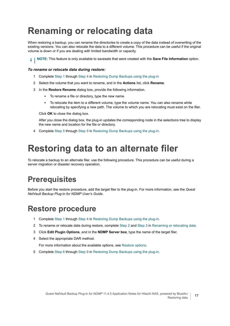# <span id="page-16-0"></span>**Renaming or relocating data**

When restoring a backup, you can rename the directories to create a copy of the data instead of overwriting of the existing versions. You can also relocate the data to a different volume. This procedure can be useful if the original volume is down or if you are dealing with limited bandwidth or capacity.

**i** | NOTE: This feature is only available to savesets that were created with the **Save File Information** option.

#### *To rename or relocate data during restore:*

- 1 Complete [Step 1](#page-13-2) through [Step 4](#page-14-0) in [Restoring Dump Backups using the plug-in](#page-13-1)
- <span id="page-16-4"></span>2 Select the volume that you want to rename, and in the **Actions** list, click **Rename**.
- <span id="page-16-5"></span>3 In the **Restore Rename** dialog box, provide the following information.
	- **▪** To rename a file or directory, type the new name.
	- **▪** To relocate the item to a different volume, type the volume name. You can also rename while relocating by specifying a new path. The volume to which you are relocating must exist on the filer.

Click **OK** to close the dialog box.

After you close the dialog box, the plug-in updates the corresponding node in the selections tree to display the new name and location for the file or directory.

4 Complete [Step 5](#page-14-1) through [Step 9](#page-15-1) in [Restoring Dump Backups using the plug-in](#page-13-1).

### <span id="page-16-1"></span>**Restoring data to an alternate filer**

To relocate a backup to an alternate filer, use the following procedure. This procedure can be useful during a server migration or disaster recovery operation.

### <span id="page-16-2"></span>**Prerequisites**

Before you start the restore procedure, add the target filer to the plug-in. For more information, see the *Quest NetVault Backup Plug-in for NDMP User's Guide*.

### <span id="page-16-3"></span>**Restore procedure**

- 1 Complete [Step 1](#page-13-2) through [Step 4](#page-14-0) in [Restoring Dump Backups using the plug-in](#page-13-1).
- 2 To rename or relocate data during restore, complete [Step 2](#page-16-4) and [Step 3](#page-16-5) in [Renaming or relocating data.](#page-16-0)
- 3 Click **Edit Plugin Options**, and in the **NDMP Server box**, type the name of the target filer.
- 4 Select the appropriate DAR method.

For more information about the available options, see [Restore options](#page-14-2).

5 Complete [Step 6](#page-15-2) through [Step 9](#page-15-1) in [Restoring Dump Backups using the plug-in](#page-13-1).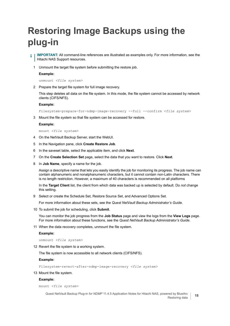# <span id="page-17-0"></span>**Restoring Image Backups using the plug-in**

- **IMPORTANT:** All command-line references are illustrated as examples only. For more information, see the ì Hitachi NAS Support resources.
	- 1 Unmount the target file system before submitting the restore job.

#### **Example:**

unmount *<file system>*

2 Prepare the target file system for full image recovery.

This step deletes all data on the file system. In this mode, the file system cannot be accessed by network clients (CIFS/NFS).

#### **Example:**

Filesystem-prepare-for-ndmp-image-recovery --full --confirm *<file system>*

3 Mount the file system so that file system can be accessed for restore.

#### **Example:**

mount *<file system>*

- 4 On the NetVault Backup Server, start the WebUI.
- 5 In the Navigation pane, click **Create Restore Job**.
- 6 In the saveset table, select the applicable item, and click **Next**.
- 7 On the **Create Selection Set** page, select the data that you want to restore. Click **Next**.
- 8 In **Job Name**, specify a name for the job.

Assign a descriptive name that lets you easily identify the job for monitoring its progress. The job name can contain alphanumeric and nonalphanumeric characters, but it cannot contain non-Latin characters. There is no length restriction. However, a maximum of 40 characters is recommended on all platforms

In the **Target Client** list, the client from which data was backed up is selected by default. Do *not* change this setting.

9 Select or create the Schedule Set, Restore Source Set, and Advanced Options Set.

For more information about these sets, see the *Quest NetVault Backup Administrator's Guide*.

10 To submit the job for scheduling, click **Submit**.

You can monitor the job progress from the **Job Status** page and view the logs from the **View Logs** page. For more information about these functions, see the *Quest NetVault Backup Administrator's Guide*.

11 When the data recovery completes, unmount the file system.

#### **Example:**

unmount *<file system>*

12 Revert the file system to a working system.

The file system is now accessible to all network clients (CIFS/NFS).

#### **Example:**

```
Filesystem-revert-after-ndmp-image-recovery <file system>
```
13 Mount the file system.

#### **Example:**

mount *<file system>*

Quest NetVault Backup Plug-in *for NDMP* 11.4.5 Application Notes for Hitachi NAS, powered by BlueArc Restoring data **<sup>18</sup>**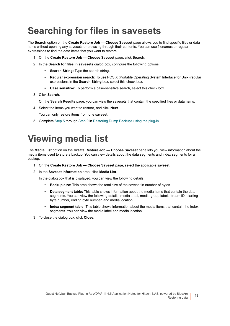# <span id="page-18-0"></span>**Searching for files in savesets**

The **Search** option on the **Create Restore Job — Choose Saveset** page allows you to find specific files or data items without opening any savesets or browsing through their contents. You can use filenames or regular expressions to find the data items that you want to restore.

- 1 On the **Create Restore Job Choose Saveset** page, click **Search**.
- 2 In the **Search for files in savesets** dialog box, configure the following options:
	- **Search String:** Type the search string.
	- **▪ Regular expression search:** To use POSIX (Portable Operating System Interface for Unix) regular expressions in the **Search String** box, select this check box.
	- **▪ Case sensitive:** To perform a case-sensitive search, select this check box.
- 3 Click **Search**.

On the **Search Results** page, you can view the savesets that contain the specified files or data items.

4 Select the items you want to restore, and click **Next**.

You can only restore items from one saveset.

5 Complete [Step 5](#page-14-1) through [Step 9](#page-15-1) in [Restoring Dump Backups using the plug-in](#page-13-1).

### <span id="page-18-1"></span>**Viewing media list**

The **Media List** option on the **Create Restore Job — Choose Saveset** page lets you view information about the media items used to store a backup. You can view details about the data segments and index segments for a backup.

- 1 On the **Create Restore Job Choose Saveset** page, select the applicable saveset.
- 2 In the **Saveset Information** area, click **Media List**.

In the dialog box that is displayed, you can view the following details:

- **▪ Backup size:** This area shows the total size of the saveset in number of bytes
- **Data segment table:** This table shows information about the media items that contain the data segments. You can view the following details: media label, media group label, stream ID, starting byte number, ending byte number, and media location
- **Index segment table:** This table shows information about the media items that contain the index segments. You can view the media label and media location.
- 3 To close the dialog box, click **Close**.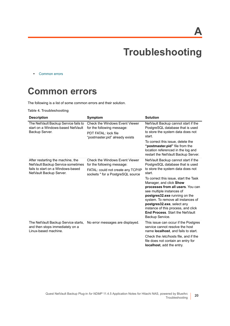**A**

# **Troubleshooting**

<span id="page-19-0"></span>**•** [Common errors](#page-19-1)

### <span id="page-19-1"></span>**Common errors**

The following is a list of some common errors and their solution.

**Table 4. Troubleshooting**

| <b>Description</b>                                                                                                                     | Symptom                                                                                                                                        | <b>Solution</b>                                                                                                                                                                                                                                                                                                                                                                                                                                                       |
|----------------------------------------------------------------------------------------------------------------------------------------|------------------------------------------------------------------------------------------------------------------------------------------------|-----------------------------------------------------------------------------------------------------------------------------------------------------------------------------------------------------------------------------------------------------------------------------------------------------------------------------------------------------------------------------------------------------------------------------------------------------------------------|
| The NetVault Backup Service fails to<br>start on a Windows-based NetVault<br>Backup Server.                                            | <b>Check the Windows Event Viewer</b><br>for the following message:<br>PDT FATAL: lock file<br>"postmaster.pid" already exists                 | NetVault Backup cannot start if the<br>PostgreSQL database that is used<br>to store the system data does not<br>start.<br>To correct this issue, delete the<br>"postmaster.pid" file from the<br>location referenced in the log and<br>restart the NetVault Backup Server.                                                                                                                                                                                            |
| After restarting the machine, the<br>NetVault Backup Service sometimes<br>fails to start on a Windows-based<br>NetVault Backup Server. | <b>Check the Windows Event Viewer</b><br>for the following message:<br>FATAL: could not create any TCP/IP<br>sockets " for a PostgreSQL source | NetVault Backup cannot start if the<br>PostgreSQL database that is used<br>to store the system data does not<br>start.<br>To correct this issue, start the Task<br>Manager, and click Show<br>processes from all users. You can<br>see multiple instances of<br>postgres32.exe running on the<br>system. To remove all instances of<br>postgres32.exe, select any<br>instance of this process, and click<br><b>End Process. Start the NetVault</b><br>Backup Service. |
| The NetVault Backup Service starts,<br>and then stops immediately on a<br>Linux-based machine.                                         | No error messages are displayed.                                                                                                               | This issue can occur if the Postgres<br>service cannot resolve the host<br>name <b>localhost</b> , and fails to start.<br>Check the /etc/hosts file, and if the<br>file does not contain an entry for<br><b>localhost</b> , add the entry.                                                                                                                                                                                                                            |